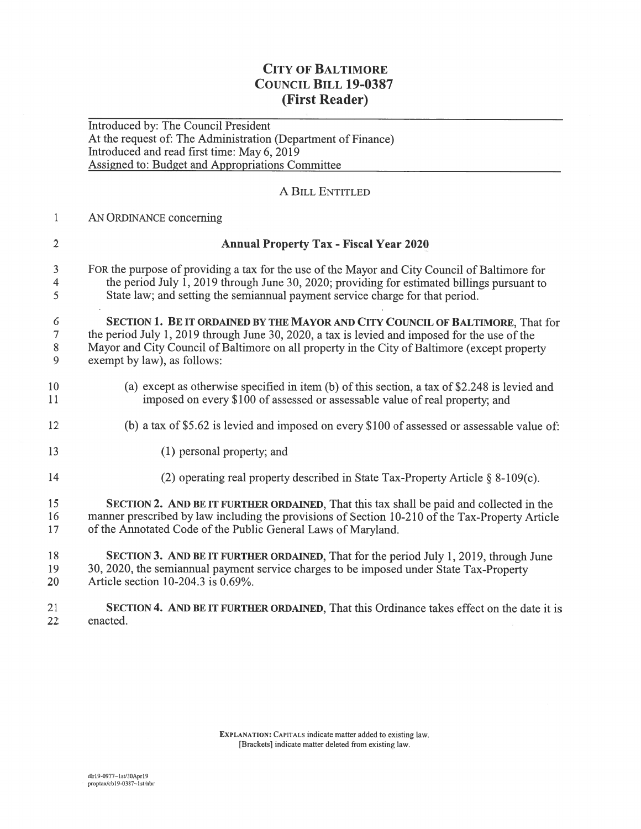## CITY OF BALTIMORE CouNcIL BILL 19-0387 (First Reader)

Introduced by: The Council President At the reques<sup>t</sup> of: The Administration (Department of Finance) ntroduced and read first time: May 6, 2019 Assigned to: Budget and Appropriations Committee

## A BiLL ENTITLED

## 1 AN ORDINANCE concerning

| $\overline{2}$                      | <b>Annual Property Tax - Fiscal Year 2020</b>                                                                                                                                                                                                                                                                   |
|-------------------------------------|-----------------------------------------------------------------------------------------------------------------------------------------------------------------------------------------------------------------------------------------------------------------------------------------------------------------|
| 3<br>$\overline{4}$<br>5            | FOR the purpose of providing a tax for the use of the Mayor and City Council of Baltimore for<br>the period July $\overline{1}$ , 2019 through June 30, 2020; providing for estimated billings pursuant to<br>State law; and setting the semiannual payment service charge for that period.                     |
| 6<br>$\boldsymbol{7}$<br>$8\,$<br>9 | SECTION 1. BE IT ORDAINED BY THE MAYOR AND CITY COUNCIL OF BALTIMORE, That for<br>the period July 1, 2019 through June 30, 2020, a tax is levied and imposed for the use of the<br>Mayor and City Council of Baltimore on all property in the City of Baltimore (except property<br>exempt by law), as follows: |
| 10<br>11                            | (a) except as otherwise specified in item (b) of this section, a tax of \$2.248 is levied and<br>imposed on every \$100 of assessed or assessable value of real property; and                                                                                                                                   |
| 12                                  | (b) a tax of \$5.62 is levied and imposed on every \$100 of assessed or assessable value of:                                                                                                                                                                                                                    |
| 13                                  | (1) personal property; and                                                                                                                                                                                                                                                                                      |
| 14                                  | (2) operating real property described in State Tax-Property Article $\S$ 8-109(c).                                                                                                                                                                                                                              |
| 15<br>16<br>17                      | <b>SECTION 2. AND BE IT FURTHER ORDAINED, That this tax shall be paid and collected in the</b><br>manner prescribed by law including the provisions of Section 10-210 of the Tax-Property Article<br>of the Annotated Code of the Public General Laws of Maryland.                                              |
| 18<br>19<br>20                      | SECTION 3. AND BE IT FURTHER ORDAINED, That for the period July 1, 2019, through June<br>30, 2020, the semiannual payment service charges to be imposed under State Tax-Property<br>Article section 10-204.3 is 0.69%.                                                                                          |
| 21                                  | SECTION 4. AND BE IT FURTHER ORDAINED, That this Ordinance takes effect on the date it is                                                                                                                                                                                                                       |

22 enacted.

EXPLANATION: CAPITALS indicate matter added to existing law. [Brackets] indicate matter deleted from existing law.